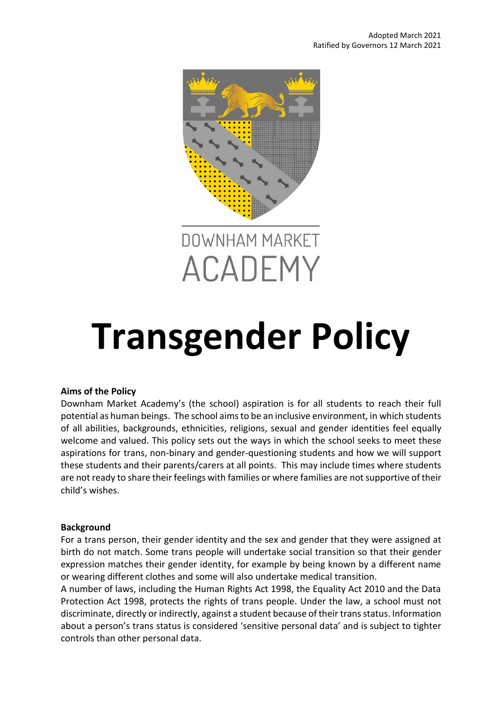

# **Transgender Policy**

## **Aims of the Policy**

Downham Market Academy's (the school) aspiration is for all students to reach their full potential as human beings. The school aims to be an inclusive environment, in which students of all abilities, backgrounds, ethnicities, religions, sexual and gender identities feel equally welcome and valued. This policy sets out the ways in which the school seeks to meet these aspirations for trans, non-binary and gender-questioning students and how we will support these students and their parents/carers at all points. This may include times where students are not ready to share their feelings with families or where families are not supportive of their child's wishes.

## **Background**

For a trans person, their gender identity and the sex and gender that they were assigned at birth do not match. Some trans people will undertake social transition so that their gender expression matches their gender identity, for example by being known by a different name or wearing different clothes and some will also undertake medical transition.

A number of laws, including the Human Rights Act 1998, the Equality Act 2010 and the Data Protection Act 1998, protects the rights of trans people. Under the law, a school must not discriminate, directly or indirectly, against a student because of their trans status. Information about a person's trans status is considered 'sensitive personal data' and is subject to tighter controls than other personal data.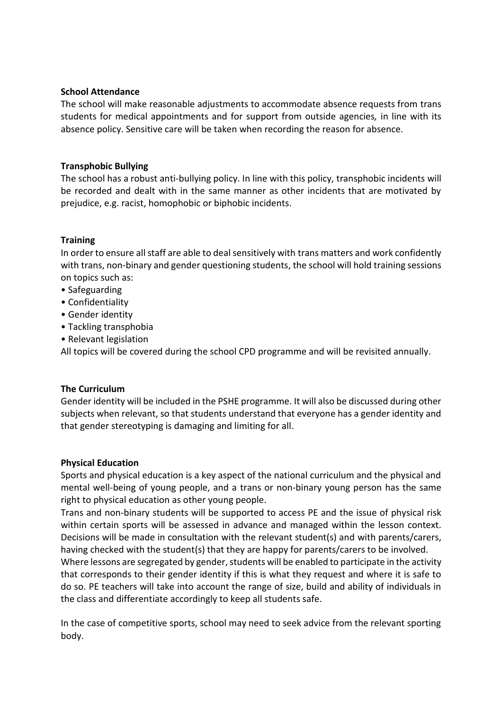## **School Attendance**

The school will make reasonable adjustments to accommodate absence requests from trans students for medical appointments and for support from outside agencies*,* in line with its absence policy. Sensitive care will be taken when recording the reason for absence.

# **Transphobic Bullying**

The school has a robust anti-bullying policy. In line with this policy, transphobic incidents will be recorded and dealt with in the same manner as other incidents that are motivated by prejudice, e.g. racist, homophobic or biphobic incidents.

# **Training**

In order to ensure all staff are able to deal sensitively with trans matters and work confidently with trans, non-binary and gender questioning students, the school will hold training sessions on topics such as:

- Safeguarding
- Confidentiality
- Gender identity
- Tackling transphobia
- Relevant legislation

All topics will be covered during the school CPD programme and will be revisited annually.

## **The Curriculum**

Gender identity will be included in the PSHE programme. It will also be discussed during other subjects when relevant, so that students understand that everyone has a gender identity and that gender stereotyping is damaging and limiting for all.

## **Physical Education**

Sports and physical education is a key aspect of the national curriculum and the physical and mental well-being of young people, and a trans or non-binary young person has the same right to physical education as other young people.

Trans and non-binary students will be supported to access PE and the issue of physical risk within certain sports will be assessed in advance and managed within the lesson context. Decisions will be made in consultation with the relevant student(s) and with parents/carers, having checked with the student(s) that they are happy for parents/carers to be involved.

Where lessons are segregated by gender, students will be enabled to participate in the activity that corresponds to their gender identity if this is what they request and where it is safe to do so. PE teachers will take into account the range of size, build and ability of individuals in the class and differentiate accordingly to keep all students safe.

In the case of competitive sports, school may need to seek advice from the relevant sporting body.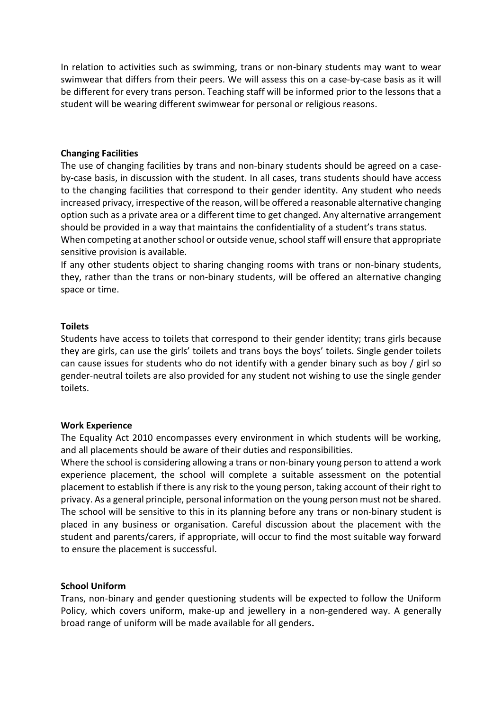In relation to activities such as swimming, trans or non-binary students may want to wear swimwear that differs from their peers. We will assess this on a case-by-case basis as it will be different for every trans person. Teaching staff will be informed prior to the lessons that a student will be wearing different swimwear for personal or religious reasons.

## **Changing Facilities**

The use of changing facilities by trans and non-binary students should be agreed on a caseby-case basis, in discussion with the student. In all cases, trans students should have access to the changing facilities that correspond to their gender identity. Any student who needs increased privacy, irrespective of the reason, will be offered a reasonable alternative changing option such as a private area or a different time to get changed. Any alternative arrangement should be provided in a way that maintains the confidentiality of a student's trans status. When competing at another school or outside venue, school staff will ensure that appropriate

sensitive provision is available.

If any other students object to sharing changing rooms with trans or non-binary students, they, rather than the trans or non-binary students, will be offered an alternative changing space or time.

## **Toilets**

Students have access to toilets that correspond to their gender identity; trans girls because they are girls, can use the girls' toilets and trans boys the boys' toilets. Single gender toilets can cause issues for students who do not identify with a gender binary such as boy / girl so gender-neutral toilets are also provided for any student not wishing to use the single gender toilets.

## **Work Experience**

The Equality Act 2010 encompasses every environment in which students will be working, and all placements should be aware of their duties and responsibilities.

Where the school is considering allowing a trans or non-binary young person to attend a work experience placement, the school will complete a suitable assessment on the potential placement to establish if there is any risk to the young person, taking account of their right to privacy. As a general principle, personal information on the young person must not be shared. The school will be sensitive to this in its planning before any trans or non-binary student is placed in any business or organisation. Careful discussion about the placement with the student and parents/carers, if appropriate, will occur to find the most suitable way forward to ensure the placement is successful.

## **School Uniform**

Trans, non-binary and gender questioning students will be expected to follow the Uniform Policy, which covers uniform, make-up and jewellery in a non-gendered way. A generally broad range of uniform will be made available for all genders**.**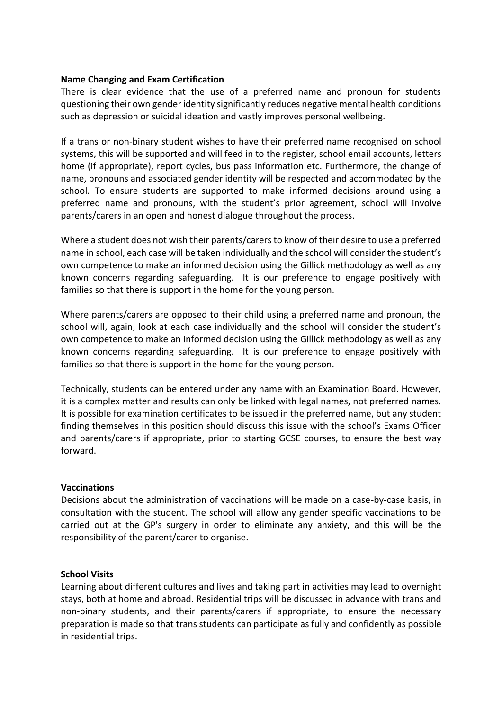## **Name Changing and Exam Certification**

There is clear evidence that the use of a preferred name and pronoun for students questioning their own gender identity significantly reduces negative mental health conditions such as depression or suicidal ideation and vastly improves personal wellbeing.

If a trans or non-binary student wishes to have their preferred name recognised on school systems, this will be supported and will feed in to the register, school email accounts, letters home (if appropriate), report cycles, bus pass information etc. Furthermore, the change of name, pronouns and associated gender identity will be respected and accommodated by the school. To ensure students are supported to make informed decisions around using a preferred name and pronouns, with the student's prior agreement, school will involve parents/carers in an open and honest dialogue throughout the process.

Where a student does not wish their parents/carers to know of their desire to use a preferred name in school, each case will be taken individually and the school will consider the student's own competence to make an informed decision using the Gillick methodology as well as any known concerns regarding safeguarding. It is our preference to engage positively with families so that there is support in the home for the young person.

Where parents/carers are opposed to their child using a preferred name and pronoun, the school will, again, look at each case individually and the school will consider the student's own competence to make an informed decision using the Gillick methodology as well as any known concerns regarding safeguarding. It is our preference to engage positively with families so that there is support in the home for the young person.

Technically, students can be entered under any name with an Examination Board. However, it is a complex matter and results can only be linked with legal names, not preferred names. It is possible for examination certificates to be issued in the preferred name, but any student finding themselves in this position should discuss this issue with the school's Exams Officer and parents/carers if appropriate, prior to starting GCSE courses, to ensure the best way forward.

## **Vaccinations**

Decisions about the administration of vaccinations will be made on a case-by-case basis, in consultation with the student. The school will allow any gender specific vaccinations to be carried out at the GP's surgery in order to eliminate any anxiety, and this will be the responsibility of the parent/carer to organise.

## **School Visits**

Learning about different cultures and lives and taking part in activities may lead to overnight stays, both at home and abroad. Residential trips will be discussed in advance with trans and non-binary students, and their parents/carers if appropriate, to ensure the necessary preparation is made so that trans students can participate as fully and confidently as possible in residential trips.